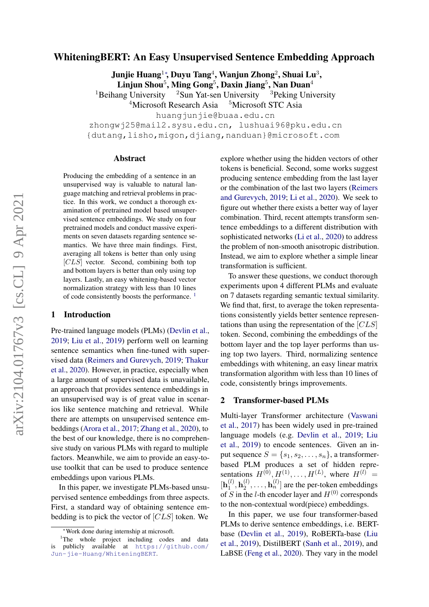# $arXiv:2104.01767v3$  [cs.CL] 9 Apr 2021 arXiv:2104.01767v3 [cs.CL] 9 Apr 2021

# WhiteningBERT: An Easy Unsupervised Sentence Embedding Approach

Junjie Huang<sup>1</sup>\*, Duyu Tang<sup>4</sup>, Wanjun Zhong<sup>2</sup>, Shuai Lu<sup>3</sup>,  $\mathbf{L}$ injun Shou $^5$ , Ming Gong $^5$ , Daxin Jiang $^5$ , Nan Duan $^4$ 

<sup>1</sup>Beihang University <sup>2</sup>Sun Yat-sen University <sup>3</sup>Peking University

 $4$ Microsoft Research Asia  $5$ Microsoft STC Asia

huangjunjie@buaa.edu.cn

zhongwj25@mail2.sysu.edu.cn, lushuai96@pku.edu.cn {dutang,lisho,migon,djiang,nanduan}@microsoft.com

#### Abstract

Producing the embedding of a sentence in an unsupervised way is valuable to natural language matching and retrieval problems in practice. In this work, we conduct a thorough examination of pretrained model based unsupervised sentence embeddings. We study on four pretrained models and conduct massive experiments on seven datasets regarding sentence semantics. We have three main findings. First, averaging all tokens is better than only using  $[CLS]$  vector. Second, combining both top and bottom layers is better than only using top layers. Lastly, an easy whitening-based vector normalization strategy with less than 10 lines of code consistently boosts the performance. [1](#page-0-0)

#### 1 Introduction

Pre-trained language models (PLMs) [\(Devlin et al.,](#page-4-0) [2019;](#page-4-0) [Liu et al.,](#page-5-0) [2019\)](#page-5-0) perform well on learning sentence semantics when fine-tuned with supervised data [\(Reimers and Gurevych,](#page-5-1) [2019;](#page-5-1) [Thakur](#page-5-2) [et al.,](#page-5-2) [2020\)](#page-5-2). However, in practice, especially when a large amount of supervised data is unavailable, an approach that provides sentence embeddings in an unsupervised way is of great value in scenarios like sentence matching and retrieval. While there are attempts on unsupervised sentence embeddings [\(Arora et al.,](#page-4-1) [2017;](#page-4-1) [Zhang et al.,](#page-5-3) [2020\)](#page-5-3), to the best of our knowledge, there is no comprehensive study on various PLMs with regard to multiple factors. Meanwhile, we aim to provide an easy-touse toolkit that can be used to produce sentence embeddings upon various PLMs.

In this paper, we investigate PLMs-based unsupervised sentence embeddings from three aspects. First, a standard way of obtaining sentence embedding is to pick the vector of [CLS] token. We

explore whether using the hidden vectors of other tokens is beneficial. Second, some works suggest producing sentence embedding from the last layer or the combination of the last two layers [\(Reimers](#page-5-1) [and Gurevych,](#page-5-1) [2019;](#page-5-1) [Li et al.,](#page-5-4) [2020\)](#page-5-4). We seek to figure out whether there exists a better way of layer combination. Third, recent attempts transform sentence embeddings to a different distribution with sophisticated networks [\(Li et al.,](#page-5-4) [2020\)](#page-5-4) to address the problem of non-smooth anisotropic distribution. Instead, we aim to explore whether a simple linear transformation is sufficient.

To answer these questions, we conduct thorough experiments upon 4 different PLMs and evaluate on 7 datasets regarding semantic textual similarity. We find that, first, to average the token representations consistently yields better sentence representations than using the representation of the [CLS] token. Second, combining the embeddings of the bottom layer and the top layer performs than using top two layers. Third, normalizing sentence embeddings with whitening, an easy linear matrix transformation algorithm with less than 10 lines of code, consistently brings improvements.

#### 2 Transformer-based PLMs

Multi-layer Transformer architecture [\(Vaswani](#page-5-5) [et al.,](#page-5-5) [2017\)](#page-5-5) has been widely used in pre-trained language models (e.g. [Devlin et al.,](#page-4-0) [2019;](#page-4-0) [Liu](#page-5-0) [et al.,](#page-5-0) [2019\)](#page-5-0) to encode sentences. Given an input sequence  $S = \{s_1, s_2, \ldots, s_n\}$ , a transformerbased PLM produces a set of hidden representations  $H^{(0)}, H^{(1)}, \ldots, H^{(L)}$ , where  $H^{(l)} =$  $[\mathbf{h}_1^{(l)}]$  $\mathbf{h}_1^{(l)}, \mathbf{h}_2^{(l)}$  $\mathbf{a}_2^{(l)}, \ldots, \mathbf{h}_n^{(l)}$  are the per-token embeddings of S in the *l*-th encoder layer and  $H^{(0)}$  corresponds to the non-contextual word(piece) embeddings.

In this paper, we use four transformer-based PLMs to derive sentence embeddings, i.e. BERTbase [\(Devlin et al.,](#page-4-0) [2019\)](#page-4-0), RoBERTa-base [\(Liu](#page-5-0) [et al.,](#page-5-0) [2019\)](#page-5-0), DistilBERT [\(Sanh et al.,](#page-5-6) [2019\)](#page-5-6), and LaBSE [\(Feng et al.,](#page-4-2) [2020\)](#page-4-2). They vary in the model

<span id="page-0-0"></span><sup>∗</sup>Work done during internship at microsoft.

<sup>&</sup>lt;sup>1</sup>The whole project including codes and data is publicly available at [https://github.com/](https://github.com/Jun-jie-Huang/WhiteningBERT) [Jun-jie-Huang/WhiteningBERT](https://github.com/Jun-jie-Huang/WhiteningBERT).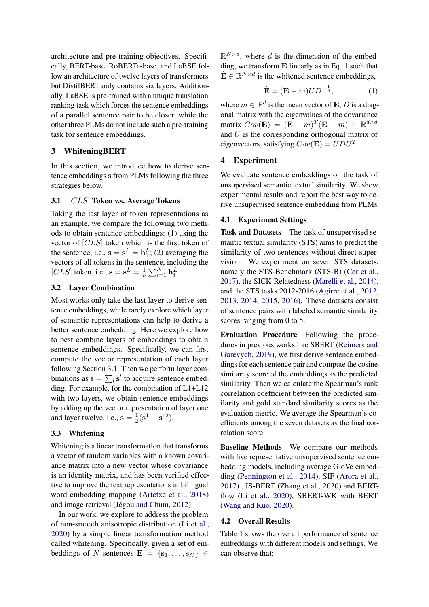architecture and pre-training objectives. Specifically, BERT-base, RoBERTa-base, and LaBSE follow an architecture of twelve layers of transformers but DistilBERT only contains six layers. Additionally, LaBSE is pre-trained with a unique translation ranking task which forces the sentence embeddings of a parallel sentence pair to be closer, while the other three PLMs do not include such a pre-training task for sentence embeddings.

# 3 WhiteningBERT

In this section, we introduce how to derive sentence embeddings s from PLMs following the three strategies below.

### <span id="page-1-0"></span>3.1 [CLS] Token v.s. Average Tokens

Taking the last layer of token representations as an example, we compare the following two methods to obtain sentence embeddings: (1) using the vector of [CLS] token which is the first token of the sentence, i.e.,  $\mathbf{s} = \mathbf{s}^L = \mathbf{h}_1^L$ ; (2) averaging the vectors of all tokens in the sentence, including the [CLS] token, i.e.,  $\mathbf{s} = \mathbf{s}^L = \frac{1}{n}$  $\frac{1}{n} \sum_{i=1}^{N} \mathbf{h}_i^L$ .

# 3.2 Layer Combination

Most works only take the last layer to derive sentence embeddings, while rarely explore which layer of semantic representations can help to derive a better sentence embedding. Here we explore how to best combine layers of embeddings to obtain sentence embeddings. Specifically, we can first compute the vector representation of each layer following Section [3.1.](#page-1-0) Then we perform layer combinations as  $\mathbf{s} = \sum_l \mathbf{s}^l$  to acquire sentence embedding. For example, for the combination of L1+L12 with two layers, we obtain sentence embeddings by adding up the vector representation of layer one and layer twelve, i.e.,  $s = \frac{1}{2}$  $\frac{1}{2}({\bf s}^{1}+{\bf s}^{12}).$ 

#### 3.3 Whitening

Whitening is a linear transformation that transforms a vector of random variables with a known covariance matrix into a new vector whose covariance is an identity matrix, and has been verified effective to improve the text representations in bilingual word embedding mapping [\(Artetxe et al.,](#page-4-3) [2018\)](#page-4-3) and image retrieval [\(Jégou and Chum,](#page-4-4) [2012\)](#page-4-4).

In our work, we explore to address the problem of non-smooth anisotropic distribution [\(Li et al.,](#page-5-4) [2020\)](#page-5-4) by a simple linear transformation method called whitening. Specifically, given a set of embeddings of N sentences  $\mathbf{E} = \{s_1, \ldots, s_N\} \in$ 

 $\mathbb{R}^{N \times d}$ , where d is the dimension of the embedding, we transform E linearly as in Eq. [1](#page-1-1) such that  $\hat{\mathbf{E}} \in \mathbb{R}^{N \times d}$  is the whitened sentence embeddings,

<span id="page-1-1"></span>
$$
\hat{\mathbf{E}} = (\mathbf{E} - m)UD^{-\frac{1}{2}},\tag{1}
$$

where  $m \in \mathbb{R}^d$  is the mean vector of **E**, *D* is a diagonal matrix with the eigenvalues of the covariance matrix  $Cov(\mathbf{E}) = (\mathbf{E} - m)^T (\mathbf{E} - m) \in \mathbb{R}^{d \times d}$ and  $U$  is the corresponding orthogonal matrix of eigenvectors, satisfying  $Cov(\mathbf{E}) = UDU^{T}$ .

#### 4 Experiment

We evaluate sentence embeddings on the task of unsupervised semantic textual similarity. We show experimental results and report the best way to derive unsupervised sentence embedding from PLMs.

#### 4.1 Experiment Settings

Task and Datasets The task of unsupervised semantic textual similarity (STS) aims to predict the similarity of two sentences without direct supervision. We experiment on seven STS datasets, namely the STS-Benchmark (STS-B) [\(Cer et al.,](#page-4-5) [2017\)](#page-4-5), the SICK-Relatedness [\(Marelli et al.,](#page-5-7) [2014\)](#page-5-7), and the STS tasks 2012-2016 [\(Agirre et al.,](#page-4-6) [2012,](#page-4-6) [2013,](#page-4-7) [2014,](#page-4-8) [2015,](#page-4-9) [2016\)](#page-4-10). These datasets consist of sentence pairs with labeled semantic similarity scores ranging from 0 to 5.

Evaluation Procedure Following the procedures in previous works like SBERT [\(Reimers and](#page-5-1) [Gurevych,](#page-5-1) [2019\)](#page-5-1), we first derive sentence embeddings for each sentence pair and compute the cosine similarity score of the embeddings as the predicted similarity. Then we calculate the Spearman's rank correlation coefficient between the predicted similarity and gold standard similarity scores as the evaluation metric. We average the Spearman's coefficients among the seven datasets as the final correlation score.

Baseline Methods We compare our methods with five representative unsupervised sentence embedding models, including average GloVe embedding [\(Pennington et al.,](#page-5-8) [2014\)](#page-5-8), SIF [\(Arora et al.,](#page-4-1) [2017\)](#page-4-1) , IS-BERT [\(Zhang et al.,](#page-5-3) [2020\)](#page-5-3) and BERTflow [\(Li et al.,](#page-5-4) [2020\)](#page-5-4), SBERT-WK with BERT [\(Wang and Kuo,](#page-5-9) [2020\)](#page-5-9).

#### 4.2 Overall Results

Table [1](#page-2-0) shows the overall performance of sentence embeddings with different models and settings. We can observe that: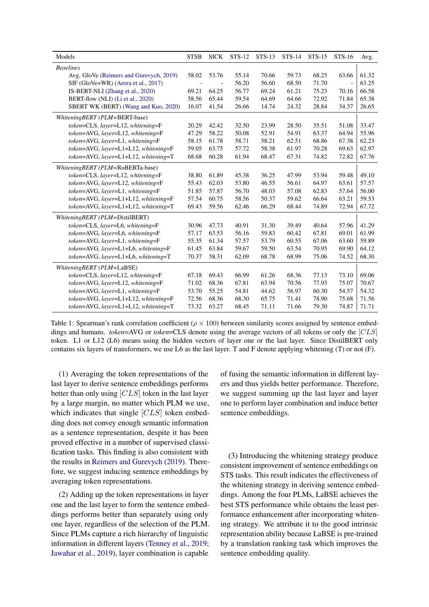<span id="page-2-0"></span>

| Models                                   | <b>STSB</b> | <b>SICK</b> | <b>STS-12</b> | $STS-13$ | <b>STS-14</b> | $STS-15$ | STS-16 | Avg.  |
|------------------------------------------|-------------|-------------|---------------|----------|---------------|----------|--------|-------|
| <b>Baselines</b>                         |             |             |               |          |               |          |        |       |
| Avg. GloVe (Reimers and Gurevych, 2019)  | 58.02       | 53.76       | 55.14         | 70.66    | 59.73         | 68.25    | 63.66  | 61.32 |
| SIF (GloVe+WR) (Arora et al., 2017)      |             |             | 56.20         | 56.60    | 68.50         | 71.70    |        | 63.25 |
| IS-BERT-NLI (Zhang et al., 2020)         | 69.21       | 64.25       | 56.77         | 69.24    | 61.21         | 75.23    | 70.16  | 66.58 |
| BERT-flow (NLI) (Li et al., 2020)        | 58.56       | 65.44       | 59.54         | 64.69    | 64.66         | 72.92    | 71.84  | 65.38 |
| SBERT WK (BERT) (Wang and Kuo, 2020)     | 16.07       | 41.54       | 26.66         | 14.74    | 24.32         | 28.84    | 34.37  | 26.65 |
| WhiteningBERT (PLM=BERT-base)            |             |             |               |          |               |          |        |       |
| token=CLS, layer=L12, whitening=F        | 20.29       | 42.42       | 32.50         | 23.99    | 28.50         | 35.51    | 51.08  | 33.47 |
| token=AVG, layer=L12, whitening=F        | 47.29       | 58.22       | 50.08         | 52.91    | 54.91         | 63.37    | 64.94  | 55.96 |
| token=AVG, layer=L1, whitening=F         | 58.15       | 61.78       | 58.71         | 58.21    | 62.51         | 68.86    | 67.38  | 62.23 |
| token=AVG, layer=L1+L12, whitening=F     | 59.05       | 63.75       | 57.72         | 58.38    | 61.97         | 70.28    | 69.63  | 62.97 |
| token=AVG, layer=L1+L12, whitening=T     | 68.68       | 60.28       | 61.94         | 68.47    | 67.31         | 74.82    | 72.82  | 67.76 |
| WhiteningBERT (PLM=RoBERTa-base)         |             |             |               |          |               |          |        |       |
| token=CLS, layer=L12, whitening=F        | 38.80       | 61.89       | 45.38         | 36.25    | 47.99         | 53.94    | 59.48  | 49.10 |
| token=AVG, layer=L12, whitening=F        | 55.43       | 62.03       | 53.80         | 46.55    | 56.61         | 64.97    | 63.61  | 57.57 |
| token=AVG, layer=L1, whitening=F         | 51.85       | 57.87       | 56.70         | 48.03    | 57.08         | 62.83    | 57.64  | 56.00 |
| token=AVG, layer=L1+L12, whitening=F     | 57.54       | 60.75       | 58.56         | 50.37    | 59.62         | 66.64    | 63.21  | 59.53 |
| token=AVG, layer=L1+L12, whitening=T     | 69.43       | 59.56       | 62.46         | 66.29    | 68.44         | 74.89    | 72.94  | 67.72 |
| WhiteningBERT (PLM=DistilBERT)           |             |             |               |          |               |          |        |       |
| token=CLS, layer=L6, whitening=F         | 30.96       | 47.73       | 40.91         | 31.30    | 39.49         | 40.64    | 57.96  | 41.29 |
| token=AVG, layer=L6, whitening=F         | 57.17       | 63.53       | 56.16         | 59.83    | 60.42         | 67.81    | 69.01  | 61.99 |
| $token = AVG$ , layer=L1, whitening= $F$ | 55.35       | 61.34       | 57.57         | 53.79    | 60.55         | 67.06    | 63.60  | 59.89 |
| token=AVG, layer=L1+L6, whitening=F      | 61.45       | 63.84       | 59.67         | 59.50    | 63.54         | 70.95    | 69.90  | 64.12 |
| token=AVG, layer=L1+L6, whitening=T      | 70.37       | 58.31       | 62.09         | 68.78    | 68.99         | 75.06    | 74.52  | 68.30 |
| WhiteningBERT (PLM=LaBSE)                |             |             |               |          |               |          |        |       |
| token=CLS, layer=L12, whitening=F        | 67.18       | 69.43       | 66.99         | 61.26    | 68.36         | 77.13    | 73.10  | 69.06 |
| token=AVG, layer=L12, whitening=F        | 71.02       | 68.36       | 67.81         | 63.94    | 70.56         | 77.93    | 75.07  | 70.67 |
| token=AVG, layer=L1, whitening=F         | 53.70       | 55.25       | 54.81         | 44.62    | 56.97         | 60.30    | 54.57  | 54.32 |
| token=AVG, layer=L1+L12, whitening=F     | 72.56       | 68.36       | 68.30         | 65.75    | 71.41         | 78.90    | 75.68  | 71.56 |
| token=AVG, layer=L1+L12, whitening=T     | 73.32       | 63.27       | 68.45         | 71.11    | 71.66         | 79.30    | 74.87  | 71.71 |

Table 1: Spearman's rank correlation coefficient ( $\rho \times 100$ ) between similarity scores assigned by sentence embeddings and humans. *token*=AVG or *token*=CLS denote using the average vectors of all tokens or only the [CLS] token. L1 or L12 (L6) means using the hidden vectors of layer one or the last layer. Since DistilBERT only contains six layers of transformers, we use L6 as the last layer. T and F denote applying whitening (T) or not (F).

(1) Averaging the token representations of the last layer to derive sentence embeddings performs better than only using [CLS] token in the last layer by a large margin, no matter which PLM we use, which indicates that single [CLS] token embedding does not convey enough semantic information as a sentence representation, despite it has been proved effective in a number of supervised classification tasks. This finding is also consistent with the results in [Reimers and Gurevych](#page-5-1) [\(2019\)](#page-5-1). Therefore, we suggest inducing sentence embeddings by averaging token representations.

(2) Adding up the token representations in layer one and the last layer to form the sentence embeddings performs better than separately using only one layer, regardless of the selection of the PLM. Since PLMs capture a rich hierarchy of linguistic information in different layers [\(Tenney et al.,](#page-5-10) [2019;](#page-5-10) [Jawahar et al.,](#page-4-11) [2019\)](#page-4-11), layer combination is capable

of fusing the semantic information in different layers and thus yields better performance. Therefore, we suggest summing up the last layer and layer one to perform layer combination and induce better sentence embeddings.

(3) Introducing the whitening strategy produce consistent improvement of sentence embeddings on STS tasks. This result indicates the effectiveness of the whitening strategy in deriving sentence embeddings. Among the four PLMs, LaBSE achieves the best STS performance while obtains the least performance enhancement after incorporating whitening strategy. We attribute it to the good intrinsic representation ability because LaBSE is pre-trained by a translation ranking task which improves the sentence embedding quality.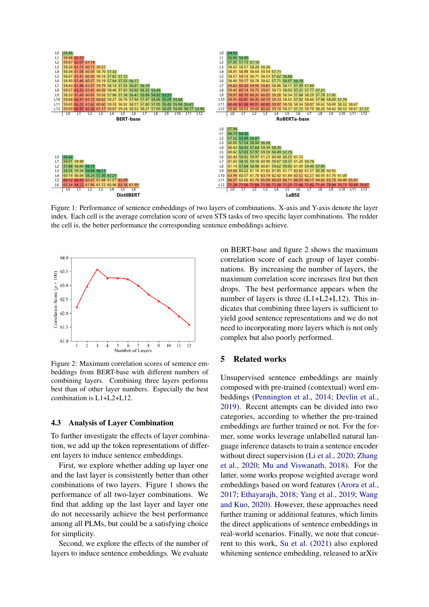<span id="page-3-0"></span>

Figure 1: Performance of sentence embeddings of two layers of combinations. X-axis and Y-axis denote the layer index. Each cell is the average correlation score of seven STS tasks of two specific layer combinations. The redder the cell is, the better performance the corresponding sentence embeddings achieve.

<span id="page-3-1"></span>

Figure 2: Maximum correlation scores of sentence embeddings from BERT-base with different numbers of combining layers. Combining three layers performs best than of other layer numbers. Especially the best combination is L1+L2+L12.

#### 4.3 Analysis of Layer Combination

To further investigate the effects of layer combination, we add up the token representations of different layers to induce sentence embeddings.

First, we explore whether adding up layer one and the last layer is consistently better than other combinations of two layers. Figure [1](#page-3-0) shows the performance of all two-layer combinations. We find that adding up the last layer and layer one do not necessarily achieve the best performance among all PLMs, but could be a satisfying choice for simplicity.

Second, we explore the effects of the number of layers to induce sentence embeddings. We evaluate on BERT-base and figure [2](#page-3-1) shows the maximum correlation score of each group of layer combinations. By increasing the number of layers, the maximum correlation score increases first but then drops. The best performance appears when the number of layers is three  $(L1+L2+L12)$ . This indicates that combining three layers is sufficient to yield good sentence representations and we do not need to incorporating more layers which is not only complex but also poorly performed.

# 5 Related works

Unsupervised sentence embeddings are mainly composed with pre-trained (contextual) word embeddings [\(Pennington et al.,](#page-5-8) [2014;](#page-5-8) [Devlin et al.,](#page-4-0) [2019\)](#page-4-0). Recent attempts can be divided into two categories, according to whether the pre-trained embeddings are further trained or not. For the former, some works leverage unlabelled natural language inference datasets to train a sentence encoder without direct supervision [\(Li et al.,](#page-5-4) [2020;](#page-5-4) [Zhang](#page-5-3) [et al.,](#page-5-3) [2020;](#page-5-3) [Mu and Viswanath,](#page-5-11) [2018\)](#page-5-11). For the latter, some works propose weighted average word embeddings based on word features [\(Arora et al.,](#page-4-1) [2017;](#page-4-1) [Ethayarajh,](#page-4-12) [2018;](#page-4-12) [Yang et al.,](#page-5-12) [2019;](#page-5-12) [Wang](#page-5-9) [and Kuo,](#page-5-9) [2020\)](#page-5-9). However, these approaches need further training or additional features, which limits the direct applications of sentence embeddings in real-world scenarios. Finally, we note that concurrent to this work, [Su et al.](#page-5-13) [\(2021\)](#page-5-13) also explored whitening sentence embedding, released to arXiv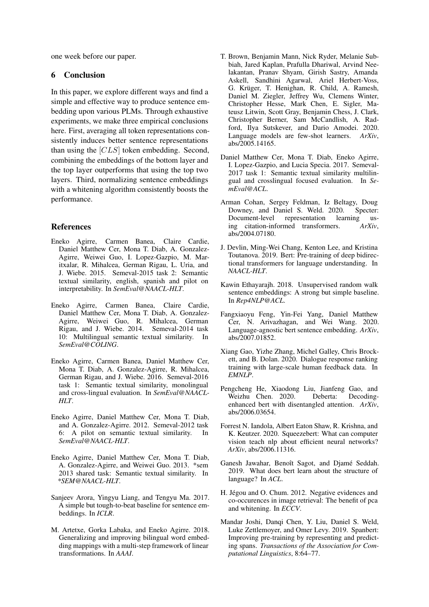one week before our paper.

# 6 Conclusion

In this paper, we explore different ways and find a simple and effective way to produce sentence embedding upon various PLMs. Through exhaustive experiments, we make three empirical conclusions here. First, averaging all token representations consistently induces better sentence representations than using the [CLS] token embedding. Second, combining the embeddings of the bottom layer and the top layer outperforms that using the top two layers. Third, normalizing sentence embeddings with a whitening algorithm consistently boosts the performance.

# References

- <span id="page-4-9"></span>Eneko Agirre, Carmen Banea, Claire Cardie, Daniel Matthew Cer, Mona T. Diab, A. Gonzalez-Agirre, Weiwei Guo, I. Lopez-Gazpio, M. Maritxalar, R. Mihalcea, German Rigau, L. Uria, and J. Wiebe. 2015. Semeval-2015 task 2: Semantic textual similarity, english, spanish and pilot on interpretability. In *SemEval@NAACL-HLT*.
- <span id="page-4-8"></span>Eneko Agirre, Carmen Banea, Claire Cardie, Daniel Matthew Cer, Mona T. Diab, A. Gonzalez-Agirre, Weiwei Guo, R. Mihalcea, German Rigau, and J. Wiebe. 2014. Semeval-2014 task 10: Multilingual semantic textual similarity. In *SemEval@COLING*.
- <span id="page-4-10"></span>Eneko Agirre, Carmen Banea, Daniel Matthew Cer, Mona T. Diab, A. Gonzalez-Agirre, R. Mihalcea, German Rigau, and J. Wiebe. 2016. Semeval-2016 task 1: Semantic textual similarity, monolingual and cross-lingual evaluation. In *SemEval@NAACL-HLT*.
- <span id="page-4-6"></span>Eneko Agirre, Daniel Matthew Cer, Mona T. Diab, and A. Gonzalez-Agirre. 2012. Semeval-2012 task 6: A pilot on semantic textual similarity. In *SemEval@NAACL-HLT*.
- <span id="page-4-7"></span>Eneko Agirre, Daniel Matthew Cer, Mona T. Diab, A. Gonzalez-Agirre, and Weiwei Guo. 2013. \*sem 2013 shared task: Semantic textual similarity. In *\*SEM@NAACL-HLT*.
- <span id="page-4-1"></span>Sanjeev Arora, Yingyu Liang, and Tengyu Ma. 2017. A simple but tough-to-beat baseline for sentence embeddings. In *ICLR*.
- <span id="page-4-3"></span>M. Artetxe, Gorka Labaka, and Eneko Agirre. 2018. Generalizing and improving bilingual word embedding mappings with a multi-step framework of linear transformations. In *AAAI*.
- <span id="page-4-18"></span>T. Brown, Benjamin Mann, Nick Ryder, Melanie Subbiah, Jared Kaplan, Prafulla Dhariwal, Arvind Neelakantan, Pranav Shyam, Girish Sastry, Amanda Askell, Sandhini Agarwal, Ariel Herbert-Voss, G. Krüger, T. Henighan, R. Child, A. Ramesh, Daniel M. Ziegler, Jeffrey Wu, Clemens Winter, Christopher Hesse, Mark Chen, E. Sigler, Mateusz Litwin, Scott Gray, Benjamin Chess, J. Clark, Christopher Berner, Sam McCandlish, A. Radford, Ilya Sutskever, and Dario Amodei. 2020. Language models are few-shot learners. *ArXiv*, abs/2005.14165.
- <span id="page-4-5"></span>Daniel Matthew Cer, Mona T. Diab, Eneko Agirre, I. Lopez-Gazpio, and Lucia Specia. 2017. Semeval-2017 task 1: Semantic textual similarity multilingual and crosslingual focused evaluation. In *SemEval@ACL*.
- <span id="page-4-16"></span>Arman Cohan, Sergey Feldman, Iz Beltagy, Doug Downey, and Daniel S. Weld. 2020. Specter: Document-level representation learning using citation-informed transformers. *ArXiv*, abs/2004.07180.
- <span id="page-4-0"></span>J. Devlin, Ming-Wei Chang, Kenton Lee, and Kristina Toutanova. 2019. Bert: Pre-training of deep bidirectional transformers for language understanding. In *NAACL-HLT*.
- <span id="page-4-12"></span>Kawin Ethayarajh. 2018. Unsupervised random walk sentence embeddings: A strong but simple baseline. In *Rep4NLP@ACL*.
- <span id="page-4-2"></span>Fangxiaoyu Feng, Yin-Fei Yang, Daniel Matthew Cer, N. Arivazhagan, and Wei Wang. 2020. Language-agnostic bert sentence embedding. *ArXiv*, abs/2007.01852.
- <span id="page-4-17"></span>Xiang Gao, Yizhe Zhang, Michel Galley, Chris Brockett, and B. Dolan. 2020. Dialogue response ranking training with large-scale human feedback data. In *EMNLP*.
- <span id="page-4-14"></span>Pengcheng He, Xiaodong Liu, Jianfeng Gao, and Weizhu Chen. 2020. Deberta: Decodingenhanced bert with disentangled attention. *ArXiv*, abs/2006.03654.
- <span id="page-4-15"></span>Forrest N. Iandola, Albert Eaton Shaw, R. Krishna, and K. Keutzer. 2020. Squeezebert: What can computer vision teach nlp about efficient neural networks? *ArXiv*, abs/2006.11316.
- <span id="page-4-11"></span>Ganesh Jawahar, Benoît Sagot, and Djamé Seddah. 2019. What does bert learn about the structure of language? In *ACL*.
- <span id="page-4-4"></span>H. Jégou and O. Chum. 2012. Negative evidences and co-occurences in image retrieval: The benefit of pca and whitening. In *ECCV*.
- <span id="page-4-13"></span>Mandar Joshi, Danqi Chen, Y. Liu, Daniel S. Weld, Luke Zettlemoyer, and Omer Levy. 2019. Spanbert: Improving pre-training by representing and predicting spans. *Transactions of the Association for Computational Linguistics*, 8:64–77.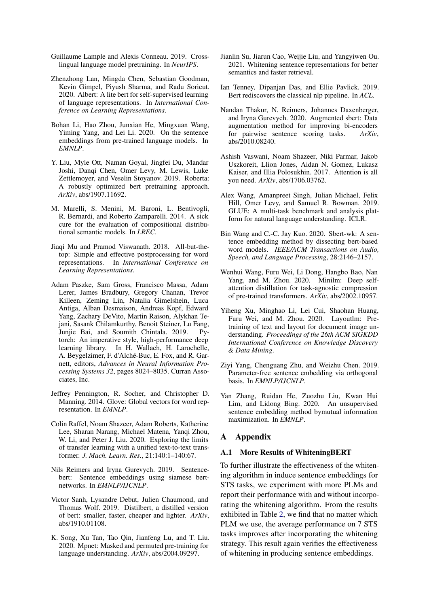- <span id="page-5-17"></span>Guillaume Lample and Alexis Conneau. 2019. Crosslingual language model pretraining. In *NeurIPS*.
- <span id="page-5-14"></span>Zhenzhong Lan, Mingda Chen, Sebastian Goodman, Kevin Gimpel, Piyush Sharma, and Radu Soricut. 2020. Albert: A lite bert for self-supervised learning of language representations. In *International Conference on Learning Representations*.
- <span id="page-5-4"></span>Bohan Li, Hao Zhou, Junxian He, Mingxuan Wang, Yiming Yang, and Lei Li. 2020. On the sentence embeddings from pre-trained language models. In *EMNLP*.
- <span id="page-5-0"></span>Y. Liu, Myle Ott, Naman Goyal, Jingfei Du, Mandar Joshi, Danqi Chen, Omer Levy, M. Lewis, Luke Zettlemoyer, and Veselin Stoyanov. 2019. Roberta: A robustly optimized bert pretraining approach. *ArXiv*, abs/1907.11692.
- <span id="page-5-7"></span>M. Marelli, S. Menini, M. Baroni, L. Bentivogli, R. Bernardi, and Roberto Zamparelli. 2014. A sick cure for the evaluation of compositional distributional semantic models. In *LREC*.
- <span id="page-5-11"></span>Jiaqi Mu and Pramod Viswanath. 2018. All-but-thetop: Simple and effective postprocessing for word representations. In *International Conference on Learning Representations*.
- <span id="page-5-21"></span>Adam Paszke, Sam Gross, Francisco Massa, Adam Lerer, James Bradbury, Gregory Chanan, Trevor Killeen, Zeming Lin, Natalia Gimelshein, Luca Antiga, Alban Desmaison, Andreas Kopf, Edward Yang, Zachary DeVito, Martin Raison, Alykhan Tejani, Sasank Chilamkurthy, Benoit Steiner, Lu Fang, Junjie Bai, and Soumith Chintala. 2019. Pytorch: An imperative style, high-performance deep learning library. In H. Wallach, H. Larochelle, A. Beygelzimer, F. d'Alché-Buc, E. Fox, and R. Garnett, editors, *Advances in Neural Information Processing Systems 32*, pages 8024–8035. Curran Associates, Inc.
- <span id="page-5-8"></span>Jeffrey Pennington, R. Socher, and Christopher D. Manning. 2014. Glove: Global vectors for word representation. In *EMNLP*.
- <span id="page-5-15"></span>Colin Raffel, Noam Shazeer, Adam Roberts, Katherine Lee, Sharan Narang, Michael Matena, Yanqi Zhou, W. Li, and Peter J. Liu. 2020. Exploring the limits of transfer learning with a unified text-to-text transformer. *J. Mach. Learn. Res.*, 21:140:1–140:67.
- <span id="page-5-1"></span>Nils Reimers and Iryna Gurevych. 2019. Sentencebert: Sentence embeddings using siamese bertnetworks. In *EMNLP/IJCNLP*.
- <span id="page-5-6"></span>Victor Sanh, Lysandre Debut, Julien Chaumond, and Thomas Wolf. 2019. Distilbert, a distilled version of bert: smaller, faster, cheaper and lighter. *ArXiv*, abs/1910.01108.
- <span id="page-5-18"></span>K. Song, Xu Tan, Tao Qin, Jianfeng Lu, and T. Liu. 2020. Mpnet: Masked and permuted pre-training for language understanding. *ArXiv*, abs/2004.09297.
- <span id="page-5-13"></span>Jianlin Su, Jiarun Cao, Weijie Liu, and Yangyiwen Ou. 2021. Whitening sentence representations for better semantics and faster retrieval.
- <span id="page-5-10"></span>Ian Tenney, Dipanjan Das, and Ellie Pavlick. 2019. Bert rediscovers the classical nlp pipeline. In *ACL*.
- <span id="page-5-2"></span>Nandan Thakur, N. Reimers, Johannes Daxenberger, and Iryna Gurevych. 2020. Augmented sbert: Data augmentation method for improving bi-encoders for pairwise sentence scoring tasks. *ArXiv*, abs/2010.08240.
- <span id="page-5-5"></span>Ashish Vaswani, Noam Shazeer, Niki Parmar, Jakob Uszkoreit, Llion Jones, Aidan N. Gomez, Lukasz Kaiser, and Illia Polosukhin. 2017. Attention is all you need. *ArXiv*, abs/1706.03762.
- <span id="page-5-20"></span>Alex Wang, Amanpreet Singh, Julian Michael, Felix Hill, Omer Levy, and Samuel R. Bowman. 2019. GLUE: A multi-task benchmark and analysis platform for natural language understanding. ICLR.
- <span id="page-5-9"></span>Bin Wang and C.-C. Jay Kuo. 2020. Sbert-wk: A sentence embedding method by dissecting bert-based word models. *IEEE/ACM Transactions on Audio, Speech, and Language Processing*, 28:2146–2157.
- <span id="page-5-19"></span>Wenhui Wang, Furu Wei, Li Dong, Hangbo Bao, Nan Yang, and M. Zhou. 2020. Minilm: Deep selfattention distillation for task-agnostic compression of pre-trained transformers. *ArXiv*, abs/2002.10957.
- <span id="page-5-16"></span>Yiheng Xu, Minghao Li, Lei Cui, Shaohan Huang, Furu Wei, and M. Zhou. 2020. Layoutlm: Pretraining of text and layout for document image understanding. *Proceedings of the 26th ACM SIGKDD International Conference on Knowledge Discovery & Data Mining*.
- <span id="page-5-12"></span>Ziyi Yang, Chenguang Zhu, and Weizhu Chen. 2019. Parameter-free sentence embedding via orthogonal basis. In *EMNLP/IJCNLP*.
- <span id="page-5-3"></span>Yan Zhang, Ruidan He, Zuozhu Liu, Kwan Hui Lim, and Lidong Bing. 2020. An unsupervised sentence embedding method bymutual information maximization. In *EMNLP*.

# A Appendix

#### A.1 More Results of WhiteningBERT

To further illustrate the effectiveness of the whitening algorithm in induce sentence embeddings for STS tasks, we experiment with more PLMs and report their performance with and without incorporating the whitening algorithm. From the results exhibited in Table [2,](#page-6-0) we find that no matter which PLM we use, the average performance on 7 STS tasks improves after incorporating the whitening strategy. This result again verifies the effectiveness of whitening in producing sentence embeddings.